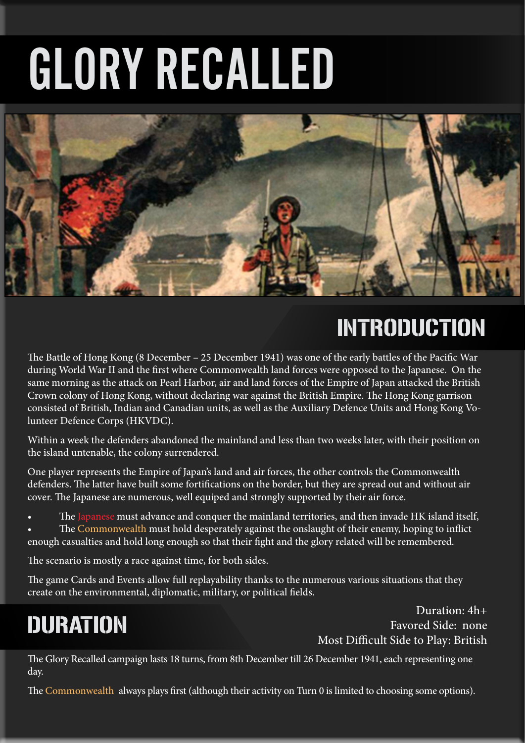# GLORY RECALLED



### INTRODUCTION

The Battle of Hong Kong (8 December – 25 December 1941) was one of the early battles of the Pacific War during World War II and the first where Commonwealth land forces were opposed to the Japanese. On the same morning as the attack on Pearl Harbor, air and land forces of the Empire of Japan attacked the British Crown colony of Hong Kong, without declaring war against the British Empire. The Hong Kong garrison consisted of British, Indian and Canadian units, as well as the Auxiliary Defence Units and Hong Kong Volunteer Defence Corps (HKVDC).

Within a week the defenders abandoned the mainland and less than two weeks later, with their position on the island untenable, the colony surrendered.

One player represents the Empire of Japan's land and air forces, the other controls the Commonwealth defenders. The latter have built some fortifications on the border, but they are spread out and without air cover. The Japanese are numerous, well equiped and strongly supported by their air force.

The Japanese must advance and conquer the mainland territories, and then invade HK island itself,

The Commonwealth must hold desperately against the onslaught of their enemy, hoping to inflict enough casualties and hold long enough so that their fight and the glory related will be remembered.

The scenario is mostly a race against time, for both sides.

The game Cards and Events allow full replayability thanks to the numerous various situations that they create on the environmental, diplomatic, military, or political fields.

## DURATION

Duration: 4h+ Favored Side: none Most Difficult Side to Play: British

The Glory Recalled campaign lasts 18 turns, from 8th December till 26 December 1941, each representing one day.

The Commonwealth always plays first (although their activity on Turn 0 is limited to choosing some options).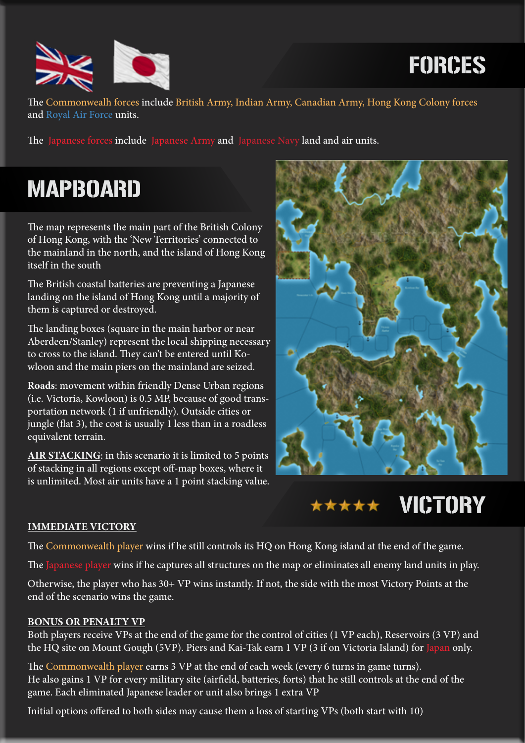

FORCES

The Commonwealh forces include British Army, Indian Army, Canadian Army, Hong Kong Colony forces and Royal Air Force units.

The Japanese forces include Japanese Army and Japanese Navy land and air units.

### MAPBOARD

The map represents the main part of the British Colony of Hong Kong, with the 'New Territories' connected to the mainland in the north, and the island of Hong Kong itself in the south

The British coastal batteries are preventing a Japanese landing on the island of Hong Kong until a majority of them is captured or destroyed.

The landing boxes (square in the main harbor or near Aberdeen/Stanley) represent the local shipping necessary to cross to the island. They can't be entered until Kowloon and the main piers on the mainland are seized.

**Roads**: movement within friendly Dense Urban regions (i.e. Victoria, Kowloon) is 0.5 MP, because of good transportation network (1 if unfriendly). Outside cities or jungle (flat 3), the cost is usually 1 less than in a roadless equivalent terrain.

**AIR STACKING**: in this scenario it is limited to 5 points of stacking in all regions except off-map boxes, where it is unlimited. Most air units have a 1 point stacking value.





#### **IMMEDIATE VICTORY**

The Commonwealth player wins if he still controls its HQ on Hong Kong island at the end of the game.

The Japanese player wins if he captures all structures on the map or eliminates all enemy land units in play.

Otherwise, the player who has 30+ VP wins instantly. If not, the side with the most Victory Points at the end of the scenario wins the game.

#### **BONUS OR PENALTY VP**

Both players receive VPs at the end of the game for the control of cities (1 VP each), Reservoirs (3 VP) and the HQ site on Mount Gough (5VP). Piers and Kai-Tak earn 1 VP (3 if on Victoria Island) for Japan only.

The Commonwealth player earns 3 VP at the end of each week (every 6 turns in game turns). He also gains 1 VP for every military site (airfield, batteries, forts) that he still controls at the end of the game. Each eliminated Japanese leader or unit also brings 1 extra VP

Initial options offered to both sides may cause them a loss of starting VPs (both start with 10)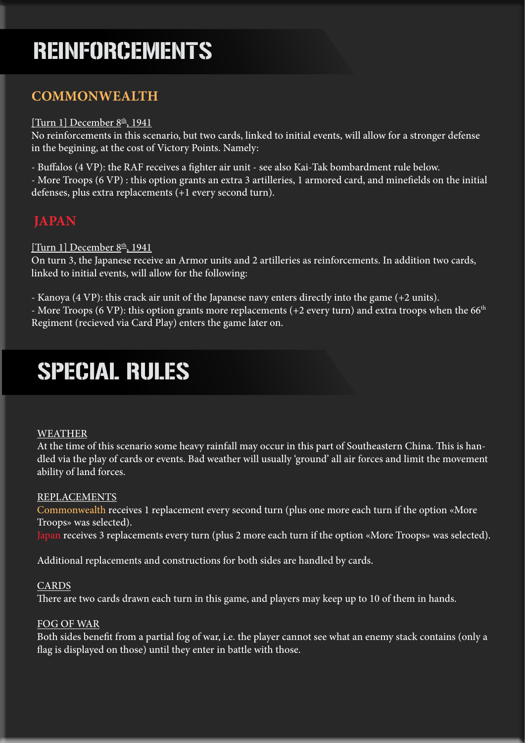### REINFORCEMENTS

### **COMMONWEALTH**

#### [Turn 1] December  $8th$ , 1941

No reinforcements in this scenario, but two cards, linked to initial events, will allow for a stronger defense in the begining, at the cost of Victory Points. Namely:

- Buffalos (4 VP): the RAF receives a fighter air unit - see also Kai-Tak bombardment rule below.

- More Troops (6 VP) : this option grants an extra 3 artilleries, 1 armored card, and minefields on the initial defenses, plus extra replacements (+1 every second turn).

### **JAPAN**

[Turn 1] December  $8<sup>th</sup>$ , 1941

On turn 3, the Japanese receive an Armor units and 2 artilleries as reinforcements. In addition two cards, linked to initial events, will allow for the following:

- Kanoya (4 VP): this crack air unit of the Japanese navy enters directly into the game (+2 units). - More Troops (6 VP): this option grants more replacements (+2 every turn) and extra troops when the 66<sup>th</sup> Regiment (recieved via Card Play) enters the game later on.

### SPECIAL RULES

#### WEATHER

At the time of this scenario some heavy rainfall may occur in this part of Southeastern China. This is handled via the play of cards or events. Bad weather will usually 'ground' all air forces and limit the movement ability of land forces.

#### REPLACEMENTS

Commonwealth receives 1 replacement every second turn (plus one more each turn if the option «More Troops» was selected).

Japan receives 3 replacements every turn (plus 2 more each turn if the option «More Troops» was selected).

Additional replacements and constructions for both sides are handled by cards.

#### CARDS

There are two cards drawn each turn in this game, and players may keep up to 10 of them in hands.

#### FOG OF WAR

Both sides benefit from a partial fog of war, i.e. the player cannot see what an enemy stack contains (only a flag is displayed on those) until they enter in battle with those.